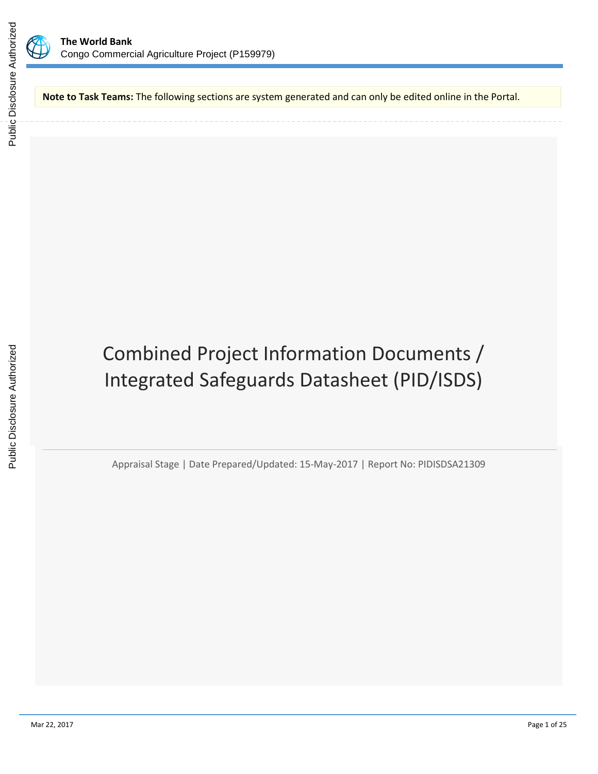

**Note to Task Teams:** The following sections are system generated and can only be edited online in the Portal.

Combined Project Information Documents / Integrated Safeguards Datasheet (PID/ISDS)

Appraisal Stage | Date Prepared/Updated: 15-May-2017 | Report No: PIDISDSA21309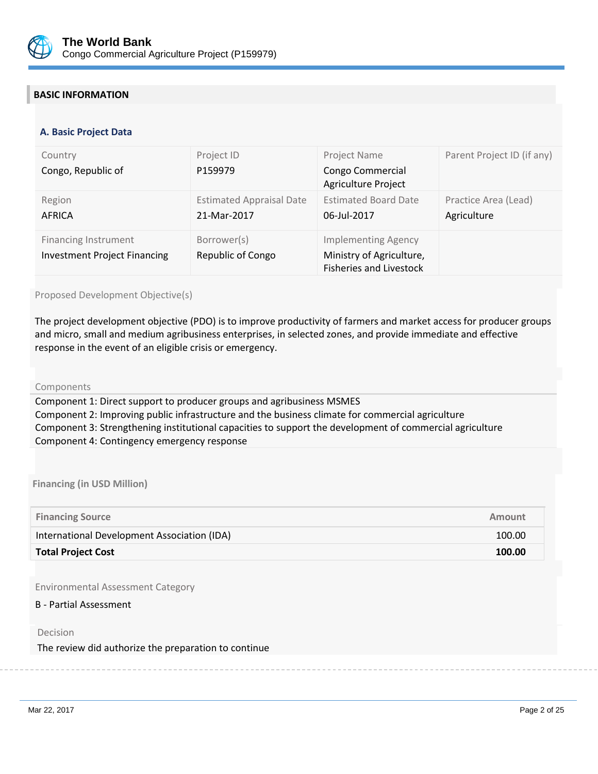

## **BASIC INFORMATION**

#### **OPS\_TABLE\_BASIC\_DATA A. Basic Project Data**

| Country<br>Congo, Republic of                                      | Project ID<br>P159979                          | Project Name<br>Congo Commercial<br>Agriculture Project                                  | Parent Project ID (if any)          |
|--------------------------------------------------------------------|------------------------------------------------|------------------------------------------------------------------------------------------|-------------------------------------|
| Region<br>AFRICA                                                   | <b>Estimated Appraisal Date</b><br>21-Mar-2017 | <b>Estimated Board Date</b><br>06-Jul-2017                                               | Practice Area (Lead)<br>Agriculture |
| <b>Financing Instrument</b><br><b>Investment Project Financing</b> | Borrower(s)<br><b>Republic of Congo</b>        | <b>Implementing Agency</b><br>Ministry of Agriculture,<br><b>Fisheries and Livestock</b> |                                     |

#### Proposed Development Objective(s)

The project development objective (PDO) is to improve productivity of farmers and market access for producer groups and micro, small and medium agribusiness enterprises, in selected zones, and provide immediate and effective response in the event of an eligible crisis or emergency.

#### Components

Component 1: Direct support to producer groups and agribusiness MSMES Component 2: Improving public infrastructure and the business climate for commercial agriculture Component 3: Strengthening institutional capacities to support the development of commercial agriculture Component 4: Contingency emergency response

**Financing (in USD Million)**

| <b>Financing Source</b>                     | Amount |
|---------------------------------------------|--------|
| International Development Association (IDA) | 100.00 |
| <b>Total Project Cost</b>                   | 100.00 |

Environmental Assessment Category

#### B - Partial Assessment

#### Decision

The review did authorize the preparation to continue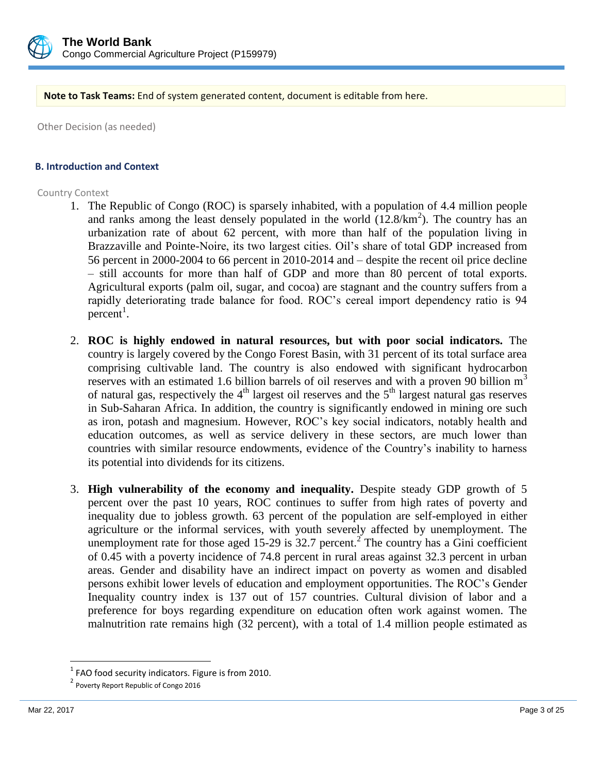

**Note to Task Teams:** End of system generated content, document is editable from here.

Other Decision (as needed)

### **B. Introduction and Context**

### Country Context

- 1. The Republic of Congo (ROC) is sparsely inhabited, with a population of 4.4 million people and ranks among the least densely populated in the world  $(12.8/km<sup>2</sup>)$ . The country has an urbanization rate of about 62 percent, with more than half of the population living in Brazzaville and Pointe-Noire, its two largest cities. Oil's share of total GDP increased from 56 percent in 2000-2004 to 66 percent in 2010-2014 and – despite the recent oil price decline – still accounts for more than half of GDP and more than 80 percent of total exports. Agricultural exports (palm oil, sugar, and cocoa) are stagnant and the country suffers from a rapidly deteriorating trade balance for food. ROC's cereal import dependency ratio is 94  $percent<sup>1</sup>$ .
- 2. **ROC is highly endowed in natural resources, but with poor social indicators.** The country is largely covered by the Congo Forest Basin, with 31 percent of its total surface area comprising cultivable land. The country is also endowed with significant hydrocarbon reserves with an estimated 1.6 billion barrels of oil reserves and with a proven 90 billion  $m<sup>3</sup>$ of natural gas, respectively the  $4<sup>th</sup>$  largest oil reserves and the  $5<sup>th</sup>$  largest natural gas reserves in Sub-Saharan Africa. In addition, the country is significantly endowed in mining ore such as iron, potash and magnesium. However, ROC's key social indicators, notably health and education outcomes, as well as service delivery in these sectors, are much lower than countries with similar resource endowments, evidence of the Country's inability to harness its potential into dividends for its citizens.
- 3. **High vulnerability of the economy and inequality.** Despite steady GDP growth of 5 percent over the past 10 years, ROC continues to suffer from high rates of poverty and inequality due to jobless growth. 63 percent of the population are self-employed in either agriculture or the informal services, with youth severely affected by unemployment. The unemployment rate for those aged 15-29 is  $32.7$  percent.<sup>2</sup> The country has a Gini coefficient of 0.45 with a poverty incidence of 74.8 percent in rural areas against 32.3 percent in urban areas. Gender and disability have an indirect impact on poverty as women and disabled persons exhibit lower levels of education and employment opportunities. The ROC's Gender Inequality country index is 137 out of 157 countries. Cultural division of labor and a preference for boys regarding expenditure on education often work against women. The malnutrition rate remains high (32 percent), with a total of 1.4 million people estimated as

 $\overline{\phantom{a}}$ 

 $1$  FAO food security indicators. Figure is from 2010.

<sup>&</sup>lt;sup>2</sup> Poverty Report Republic of Congo 2016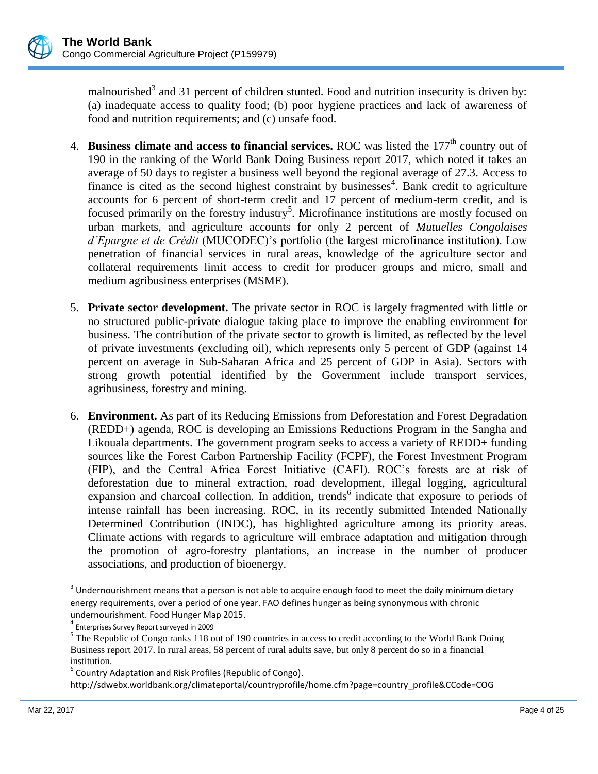

malnourished<sup>3</sup> and 31 percent of children stunted. Food and nutrition insecurity is driven by: (a) inadequate access to quality food; (b) poor hygiene practices and lack of awareness of food and nutrition requirements; and (c) unsafe food.

- 4. **Business climate and access to financial services.** ROC was listed the 177<sup>th</sup> country out of 190 in the ranking of the World Bank Doing Business report 2017, which noted it takes an average of 50 days to register a business well beyond the regional average of 27.3. Access to finance is cited as the second highest constraint by businesses<sup>4</sup>. Bank credit to agriculture accounts for 6 percent of short-term credit and 17 percent of medium-term credit, and is focused primarily on the forestry industry<sup>5</sup>. Microfinance institutions are mostly focused on urban markets, and agriculture accounts for only 2 percent of *Mutuelles Congolaises d'Epargne et de Crédit* (MUCODEC)'s portfolio (the largest microfinance institution). Low penetration of financial services in rural areas, knowledge of the agriculture sector and collateral requirements limit access to credit for producer groups and micro, small and medium agribusiness enterprises (MSME).
- 5. **Private sector development.** The private sector in ROC is largely fragmented with little or no structured public-private dialogue taking place to improve the enabling environment for business. The contribution of the private sector to growth is limited, as reflected by the level of private investments (excluding oil), which represents only 5 percent of GDP (against 14 percent on average in Sub-Saharan Africa and 25 percent of GDP in Asia). Sectors with strong growth potential identified by the Government include transport services, agribusiness, forestry and mining.
- 6. **Environment.** As part of its Reducing Emissions from Deforestation and Forest Degradation (REDD+) agenda, ROC is developing an Emissions Reductions Program in the Sangha and Likouala departments. The government program seeks to access a variety of REDD+ funding sources like the Forest Carbon Partnership Facility (FCPF), the Forest Investment Program (FIP), and the Central Africa Forest Initiative (CAFI). ROC's forests are at risk of deforestation due to mineral extraction, road development, illegal logging, agricultural expansion and charcoal collection. In addition, trends<sup>6</sup> indicate that exposure to periods of intense rainfall has been increasing. ROC, in its recently submitted Intended Nationally Determined Contribution (INDC), has highlighted agriculture among its priority areas. Climate actions with regards to agriculture will embrace adaptation and mitigation through the promotion of agro-forestry plantations, an increase in the number of producer associations, and production of bioenergy.

 $\overline{\phantom{a}}$ 

 $3$  Undernourishment means that a person is not able to acquire enough food to meet the daily minimum dietary energy requirements, over a period of one year. FAO defines hunger as being synonymous with chronic undernourishment. Food Hunger Map 2015.

<sup>4</sup> Enterprises Survey Report surveyed in 2009

<sup>&</sup>lt;sup>5</sup> The Republic of Congo ranks 118 out of 190 countries in access to credit according to the World Bank Doing Business report 2017. In rural areas, 58 percent of rural adults save, but only 8 percent do so in a financial institution.

 $^6$  Country Adaptation and Risk Profiles (Republic of Congo).

http://sdwebx.worldbank.org/climateportal/countryprofile/home.cfm?page=country\_profile&CCode=COG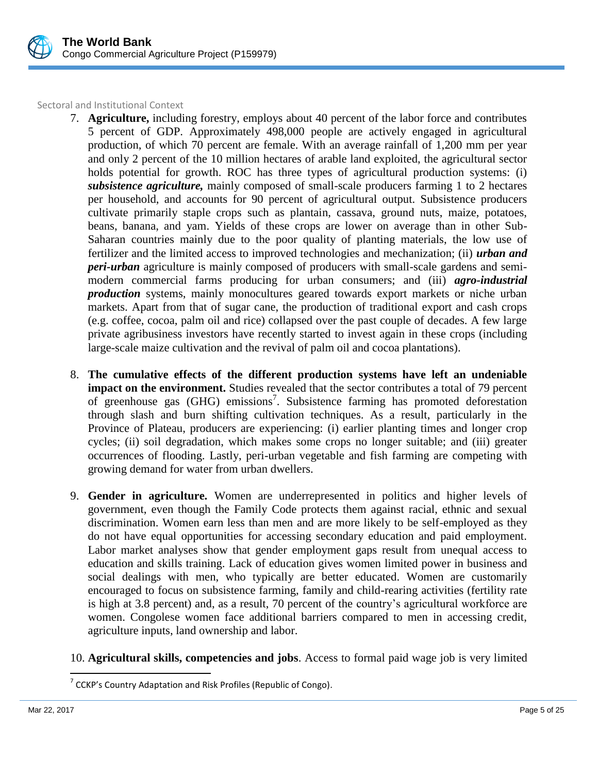

Sectoral and Institutional Context

- 7. **Agriculture,** including forestry, employs about 40 percent of the labor force and contributes 5 percent of GDP. Approximately 498,000 people are actively engaged in agricultural production, of which 70 percent are female. With an average rainfall of 1,200 mm per year and only 2 percent of the 10 million hectares of arable land exploited, the agricultural sector holds potential for growth. ROC has three types of agricultural production systems: (i) *subsistence agriculture,* mainly composed of small-scale producers farming 1 to 2 hectares per household, and accounts for 90 percent of agricultural output. Subsistence producers cultivate primarily staple crops such as plantain, cassava, ground nuts, maize, potatoes, beans, banana, and yam. Yields of these crops are lower on average than in other Sub-Saharan countries mainly due to the poor quality of planting materials, the low use of fertilizer and the limited access to improved technologies and mechanization; (ii) *urban and peri-urban* agriculture is mainly composed of producers with small-scale gardens and semimodern commercial farms producing for urban consumers; and (iii) *agro-industrial production* systems, mainly monocultures geared towards export markets or niche urban markets. Apart from that of sugar cane, the production of traditional export and cash crops (e.g. coffee, cocoa, palm oil and rice) collapsed over the past couple of decades. A few large private agribusiness investors have recently started to invest again in these crops (including large-scale maize cultivation and the revival of palm oil and cocoa plantations).
- 8. **The cumulative effects of the different production systems have left an undeniable impact on the environment.** Studies revealed that the sector contributes a total of 79 percent of greenhouse gas (GHG) emissions<sup>7</sup>. Subsistence farming has promoted deforestation through slash and burn shifting cultivation techniques. As a result, particularly in the Province of Plateau, producers are experiencing: (i) earlier planting times and longer crop cycles; (ii) soil degradation, which makes some crops no longer suitable; and (iii) greater occurrences of flooding. Lastly, peri-urban vegetable and fish farming are competing with growing demand for water from urban dwellers.
- 9. **Gender in agriculture.** Women are underrepresented in politics and higher levels of government, even though the Family Code protects them against racial, ethnic and sexual discrimination. Women earn less than men and are more likely to be self-employed as they do not have equal opportunities for accessing secondary education and paid employment. Labor market analyses show that gender employment gaps result from unequal access to education and skills training. Lack of education gives women limited power in business and social dealings with men, who typically are better educated. Women are customarily encouraged to focus on subsistence farming, family and child-rearing activities (fertility rate is high at 3.8 percent) and, as a result, 70 percent of the country's agricultural workforce are women. Congolese women face additional barriers compared to men in accessing credit, agriculture inputs, land ownership and labor.
- 10. **Agricultural skills, competencies and jobs**. Access to formal paid wage job is very limited

 $\overline{a}$ 

 $7$  CCKP's Country Adaptation and Risk Profiles (Republic of Congo).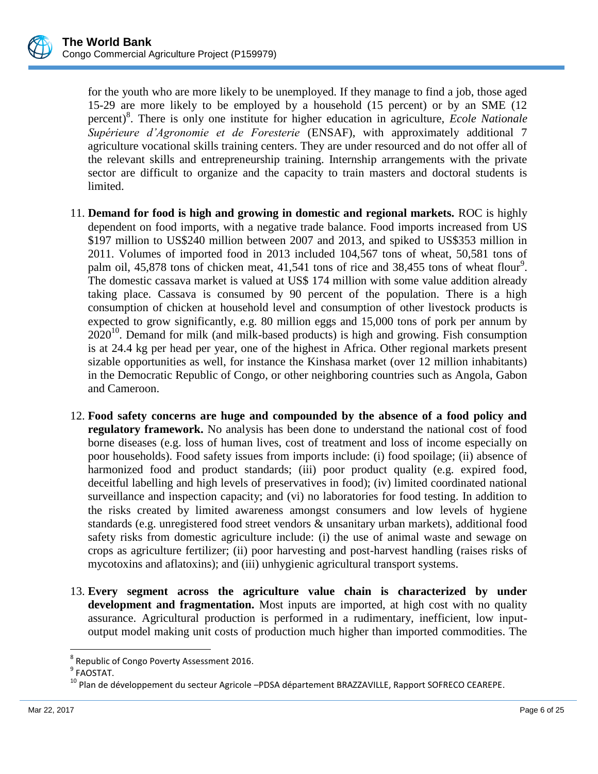

for the youth who are more likely to be unemployed. If they manage to find a job, those aged 15-29 are more likely to be employed by a household (15 percent) or by an SME (12 percent)<sup>8</sup> . There is only one institute for higher education in agriculture, *Ecole Nationale Supérieure d'Agronomie et de Foresterie* (ENSAF), with approximately additional 7 agriculture vocational skills training centers. They are under resourced and do not offer all of the relevant skills and entrepreneurship training. Internship arrangements with the private sector are difficult to organize and the capacity to train masters and doctoral students is limited.

- 11. **Demand for food is high and growing in domestic and regional markets.** ROC is highly dependent on food imports, with a negative trade balance. Food imports increased from US \$197 million to US\$240 million between 2007 and 2013, and spiked to US\$353 million in 2011. Volumes of imported food in 2013 included 104,567 tons of wheat, 50,581 tons of palm oil,  $45,878$  tons of chicken meat,  $41,541$  tons of rice and  $38,455$  tons of wheat flour<sup>9</sup>. The domestic cassava market is valued at US\$ 174 million with some value addition already taking place. Cassava is consumed by 90 percent of the population. There is a high consumption of chicken at household level and consumption of other livestock products is expected to grow significantly, e.g. 80 million eggs and 15,000 tons of pork per annum by  $2020^{10}$ . Demand for milk (and milk-based products) is high and growing. Fish consumption is at 24.4 kg per head per year, one of the highest in Africa. Other regional markets present sizable opportunities as well, for instance the Kinshasa market (over 12 million inhabitants) in the Democratic Republic of Congo, or other neighboring countries such as Angola, Gabon and Cameroon.
- 12. **Food safety concerns are huge and compounded by the absence of a food policy and regulatory framework.** No analysis has been done to understand the national cost of food borne diseases (e.g. loss of human lives, cost of treatment and loss of income especially on poor households). Food safety issues from imports include: (i) food spoilage; (ii) absence of harmonized food and product standards; (iii) poor product quality (e.g. expired food, deceitful labelling and high levels of preservatives in food); (iv) limited coordinated national surveillance and inspection capacity; and (vi) no laboratories for food testing. In addition to the risks created by limited awareness amongst consumers and low levels of hygiene standards (e.g. unregistered food street vendors & unsanitary urban markets), additional food safety risks from domestic agriculture include: (i) the use of animal waste and sewage on crops as agriculture fertilizer; (ii) poor harvesting and post-harvest handling (raises risks of mycotoxins and aflatoxins); and (iii) unhygienic agricultural transport systems.
- 13. **Every segment across the agriculture value chain is characterized by under development and fragmentation.** Most inputs are imported, at high cost with no quality assurance. Agricultural production is performed in a rudimentary, inefficient, low inputoutput model making unit costs of production much higher than imported commodities. The

 $\overline{\phantom{a}}$ 

<sup>&</sup>lt;sup>8</sup> Republic of Congo Poverty Assessment 2016.

<sup>&</sup>lt;sup>9</sup> FAOSTAT.

<sup>&</sup>lt;sup>10</sup> Plan de développement du secteur Agricole –PDSA département BRAZZAVILLE, Rapport SOFRECO CEAREPE.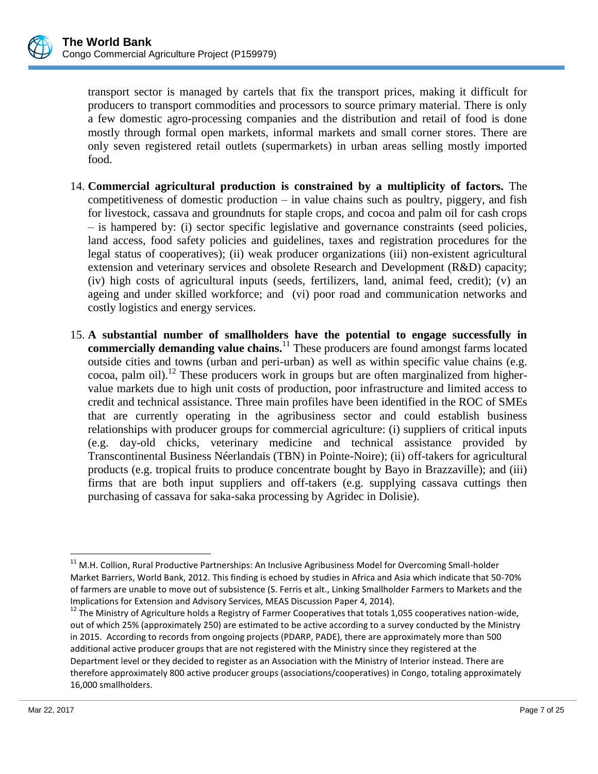

transport sector is managed by cartels that fix the transport prices, making it difficult for producers to transport commodities and processors to source primary material. There is only a few domestic agro-processing companies and the distribution and retail of food is done mostly through formal open markets, informal markets and small corner stores. There are only seven registered retail outlets (supermarkets) in urban areas selling mostly imported food.

- 14. **Commercial agricultural production is constrained by a multiplicity of factors.** The competitiveness of domestic production – in value chains such as poultry, piggery, and fish for livestock, cassava and groundnuts for staple crops, and cocoa and palm oil for cash crops – is hampered by: (i) sector specific legislative and governance constraints (seed policies, land access, food safety policies and guidelines, taxes and registration procedures for the legal status of cooperatives); (ii) weak producer organizations (iii) non-existent agricultural extension and veterinary services and obsolete Research and Development (R&D) capacity; (iv) high costs of agricultural inputs (seeds, fertilizers, land, animal feed, credit); (v) an ageing and under skilled workforce; and (vi) poor road and communication networks and costly logistics and energy services.
- 15. **A substantial number of smallholders have the potential to engage successfully in commercially demanding value chains.**<sup>11</sup> These producers are found amongst farms located outside cities and towns (urban and peri-urban) as well as within specific value chains (e.g. cocoa, palm oil).<sup>12</sup> These producers work in groups but are often marginalized from highervalue markets due to high unit costs of production, poor infrastructure and limited access to credit and technical assistance. Three main profiles have been identified in the ROC of SMEs that are currently operating in the agribusiness sector and could establish business relationships with producer groups for commercial agriculture: (i) suppliers of critical inputs (e.g. day-old chicks, veterinary medicine and technical assistance provided by Transcontinental Business Néerlandais (TBN) in Pointe-Noire); (ii) off-takers for agricultural products (e.g. tropical fruits to produce concentrate bought by Bayo in Brazzaville); and (iii) firms that are both input suppliers and off-takers (e.g. supplying cassava cuttings then purchasing of cassava for saka-saka processing by Agridec in Dolisie).

l

 $11$  M.H. Collion, Rural Productive Partnerships: An Inclusive Agribusiness Model for Overcoming Small-holder Market Barriers, World Bank, 2012. This finding is echoed by studies in Africa and Asia which indicate that 50-70% of farmers are unable to move out of subsistence (S. Ferris et alt., Linking Smallholder Farmers to Markets and the Implications for Extension and Advisory Services, MEAS Discussion Paper 4, 2014).

 $12$  The Ministry of Agriculture holds a Registry of Farmer Cooperatives that totals 1,055 cooperatives nation-wide, out of which 25% (approximately 250) are estimated to be active according to a survey conducted by the Ministry in 2015. According to records from ongoing projects (PDARP, PADE), there are approximately more than 500 additional active producer groups that are not registered with the Ministry since they registered at the Department level or they decided to register as an Association with the Ministry of Interior instead. There are therefore approximately 800 active producer groups (associations/cooperatives) in Congo, totaling approximately 16,000 smallholders.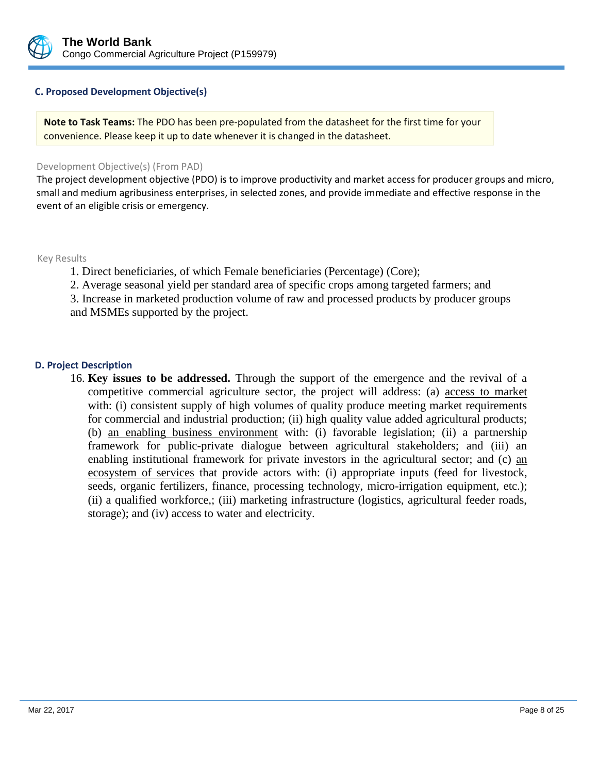

### **C. Proposed Development Objective(s)**

**Note to Task Teams:** The PDO has been pre-populated from the datasheet for the first time for your convenience. Please keep it up to date whenever it is changed in the datasheet.

#### Development Objective(s) (From PAD)

The project development objective (PDO) is to improve productivity and market access for producer groups and micro, small and medium agribusiness enterprises, in selected zones, and provide immediate and effective response in the event of an eligible crisis or emergency.

Key Results

1. Direct beneficiaries, of which Female beneficiaries (Percentage) (Core);

2. Average seasonal yield per standard area of specific crops among targeted farmers; and

3. Increase in marketed production volume of raw and processed products by producer groups and MSMEs supported by the project.

### **D. Project Description**

16. **Key issues to be addressed.** Through the support of the emergence and the revival of a competitive commercial agriculture sector, the project will address: (a) access to market with: (i) consistent supply of high volumes of quality produce meeting market requirements for commercial and industrial production; (ii) high quality value added agricultural products; (b) an enabling business environment with: (i) favorable legislation; (ii) a partnership framework for public-private dialogue between agricultural stakeholders; and (iii) an enabling institutional framework for private investors in the agricultural sector; and (c) an ecosystem of services that provide actors with: (i) appropriate inputs (feed for livestock, seeds, organic fertilizers, finance, processing technology, micro-irrigation equipment, etc.); (ii) a qualified workforce,; (iii) marketing infrastructure (logistics, agricultural feeder roads, storage); and (iv) access to water and electricity.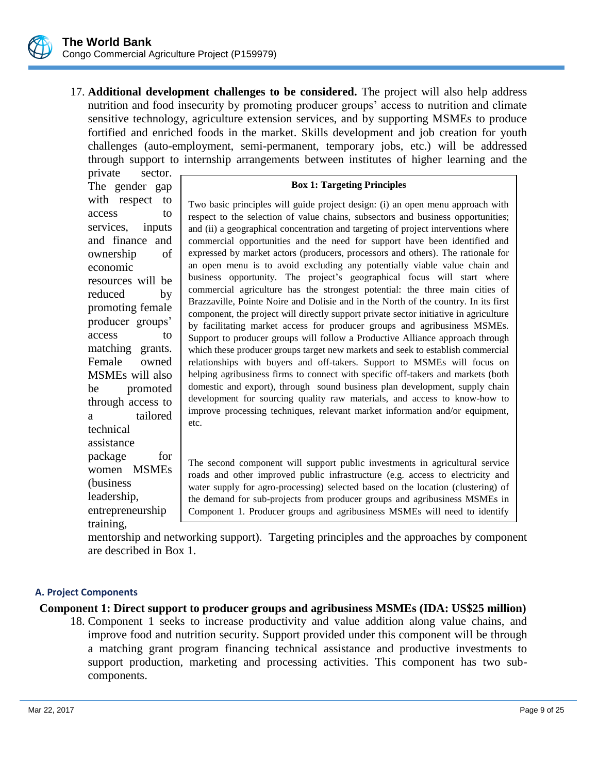

17. **Additional development challenges to be considered.** The project will also help address nutrition and food insecurity by promoting producer groups' access to nutrition and climate sensitive technology, agriculture extension services, and by supporting MSMEs to produce fortified and enriched foods in the market. Skills development and job creation for youth challenges (auto-employment, semi-permanent, temporary jobs, etc.) will be addressed through support to internship arrangements between institutes of higher learning and the

private sector. The gender gap with respect to access to services, inputs and finance and ownership of economic resources will be reduced by promoting female producer groups' access to matching grants. Female owned MSMEs will also be promoted through access to a tailored technical assistance package for women MSMEs (business leadership, entrepreneurship training,

### **Box 1: Targeting Principles**

Two basic principles will guide project design: (i) an open menu approach with respect to the selection of value chains, subsectors and business opportunities; and (ii) a geographical concentration and targeting of project interventions where commercial opportunities and the need for support have been identified and expressed by market actors (producers, processors and others). The rationale for an open menu is to avoid excluding any potentially viable value chain and business opportunity. The project's geographical focus will start where commercial agriculture has the strongest potential: the three main cities of Brazzaville, Pointe Noire and Dolisie and in the North of the country. In its first component, the project will directly support private sector initiative in agriculture by facilitating market access for producer groups and agribusiness MSMEs. Support to producer groups will follow a Productive Alliance approach through which these producer groups target new markets and seek to establish commercial relationships with buyers and off-takers. Support to MSMEs will focus on helping agribusiness firms to connect with specific off-takers and markets (both domestic and export), through sound business plan development, supply chain development for sourcing quality raw materials, and access to know-how to improve processing techniques, relevant market information and/or equipment, etc.

The second component will support public investments in agricultural service roads and other improved public infrastructure (e.g. access to electricity and water supply for agro-processing) selected based on the location (clustering) of the demand for sub-projects from producer groups and agribusiness MSMEs in Component 1. Producer groups and agribusiness MSMEs will need to identify

(along with the interest) if their expression of interest) if their value chain development activities  $\alpha$ 

mentorship and networking support). Targeting principles and the approaches by component are described in Box 1. will also contribute to improving the business commercial agriculture. The business commercial agriculture. The business commercial agriculture. The business commercial agriculture. The commercial agriculture. The commerc

## **A. Project Components**

### **Component 1: Direct support to producer groups and agribusiness MSMEs (IDA: US\$25 million)**

18. Component 1 seeks to increase productivity and value addition along value chains, and improve food and nutrition security. Support provided under this component will be through a matching grant program financing technical assistance and productive investments to support production, marketing and processing activities. This component has two subcomponents.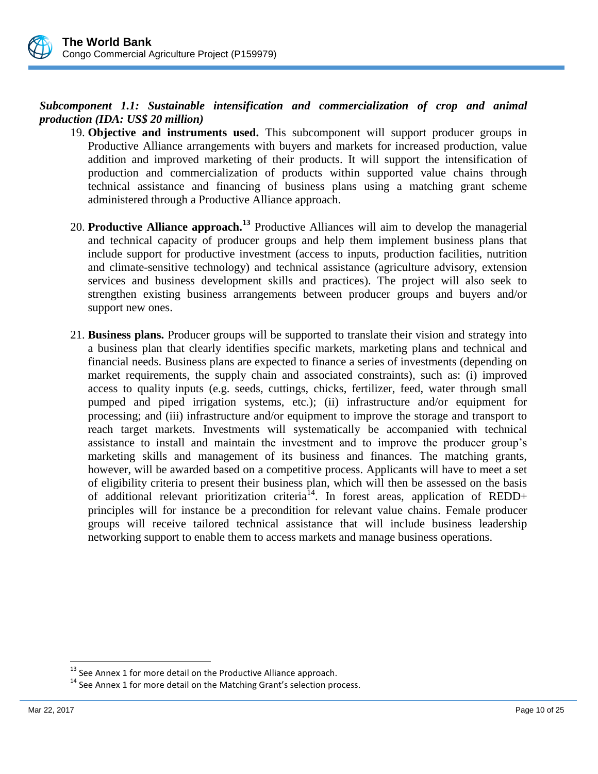

# *Subcomponent 1.1: Sustainable intensification and commercialization of crop and animal production (IDA: US\$ 20 million)*

- 19. **Objective and instruments used.** This subcomponent will support producer groups in Productive Alliance arrangements with buyers and markets for increased production, value addition and improved marketing of their products. It will support the intensification of production and commercialization of products within supported value chains through technical assistance and financing of business plans using a matching grant scheme administered through a Productive Alliance approach.
- 20. **Productive Alliance approach.<sup>13</sup>** Productive Alliances will aim to develop the managerial and technical capacity of producer groups and help them implement business plans that include support for productive investment (access to inputs, production facilities, nutrition and climate-sensitive technology) and technical assistance (agriculture advisory, extension services and business development skills and practices). The project will also seek to strengthen existing business arrangements between producer groups and buyers and/or support new ones.
- 21. **Business plans.** Producer groups will be supported to translate their vision and strategy into a business plan that clearly identifies specific markets, marketing plans and technical and financial needs. Business plans are expected to finance a series of investments (depending on market requirements, the supply chain and associated constraints), such as: (i) improved access to quality inputs (e.g. seeds, cuttings, chicks, fertilizer, feed, water through small pumped and piped irrigation systems, etc.); (ii) infrastructure and/or equipment for processing; and (iii) infrastructure and/or equipment to improve the storage and transport to reach target markets. Investments will systematically be accompanied with technical assistance to install and maintain the investment and to improve the producer group's marketing skills and management of its business and finances. The matching grants, however, will be awarded based on a competitive process. Applicants will have to meet a set of eligibility criteria to present their business plan, which will then be assessed on the basis of additional relevant prioritization criteria<sup>14</sup>. In forest areas, application of REDD+ principles will for instance be a precondition for relevant value chains. Female producer groups will receive tailored technical assistance that will include business leadership networking support to enable them to access markets and manage business operations.

 $\overline{\phantom{a}}$ 

 $13$  See Annex 1 for more detail on the Productive Alliance approach.

<sup>&</sup>lt;sup>14</sup> See Annex 1 for more detail on the Matching Grant's selection process.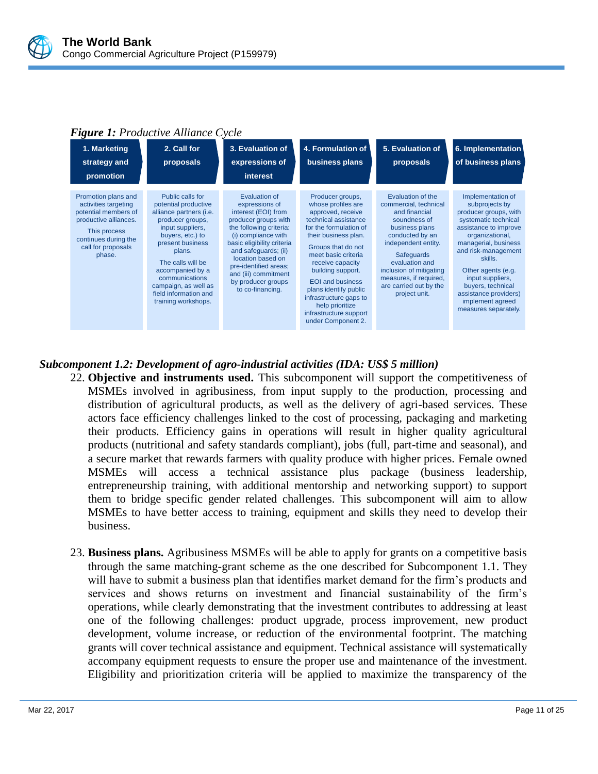

## *Figure 1: Productive Alliance Cycle*

| 1. Marketing<br>strategy and<br>promotion                                                                                                                            | 2. Call for<br>proposals                                                                                                                                                                                                                                                                         | 3. Evaluation of<br>expressions of<br><b>interest</b>                                                                                                                                                                                                                                                  | 4. Formulation of<br>business plans                                                                                                                                                                                                                                                                                                                                          | 5. Evaluation of<br>proposals                                                                                                                                                                                                                                                  | 6. Implementation<br>of business plans                                                                                                                                                                                                                                                                                         |
|----------------------------------------------------------------------------------------------------------------------------------------------------------------------|--------------------------------------------------------------------------------------------------------------------------------------------------------------------------------------------------------------------------------------------------------------------------------------------------|--------------------------------------------------------------------------------------------------------------------------------------------------------------------------------------------------------------------------------------------------------------------------------------------------------|------------------------------------------------------------------------------------------------------------------------------------------------------------------------------------------------------------------------------------------------------------------------------------------------------------------------------------------------------------------------------|--------------------------------------------------------------------------------------------------------------------------------------------------------------------------------------------------------------------------------------------------------------------------------|--------------------------------------------------------------------------------------------------------------------------------------------------------------------------------------------------------------------------------------------------------------------------------------------------------------------------------|
| Promotion plans and<br>activities targeting<br>potential members of<br>productive alliances.<br>This process<br>continues during the<br>call for proposals<br>phase. | Public calls for<br>potential productive<br>alliance partners (i.e.<br>producer groups,<br>input suppliers,<br>buyers, etc.) to<br>present business<br>plans.<br>The calls will be<br>accompanied by a<br>communications<br>campaign, as well as<br>field information and<br>training workshops. | Evaluation of<br>expressions of<br>interest (EOI) from<br>producer groups with<br>the following criteria:<br>(i) compliance with<br>basic eligibility criteria<br>and safequards; (ii)<br>location based on<br>pre-identified areas;<br>and (iii) commitment<br>by producer groups<br>to co-financing. | Producer groups,<br>whose profiles are<br>approved, receive<br>technical assistance<br>for the formulation of<br>their business plan.<br>Groups that do not<br>meet basic criteria<br>receive capacity<br>building support.<br><b>EOI</b> and business<br>plans identify public<br>infrastructure gaps to<br>help prioritize<br>infrastructure support<br>under Component 2. | Evaluation of the<br>commercial, technical<br>and financial<br>soundness of<br>business plans<br>conducted by an<br>independent entity.<br><b>Safequards</b><br>evaluation and<br>inclusion of mitigating<br>measures, if required,<br>are carried out by the<br>project unit. | Implementation of<br>subprojects by<br>producer groups, with<br>systematic technical<br>assistance to improve<br>organizational,<br>managerial, business<br>and risk-management<br>skills.<br>Other agents (e.g.<br>input suppliers,<br>buyers, technical<br>assistance providers)<br>implement agreed<br>measures separately. |

## *Subcomponent 1.2: Development of agro-industrial activities (IDA: US\$ 5 million)*

- 22. **Objective and instruments used.** This subcomponent will support the competitiveness of MSMEs involved in agribusiness, from input supply to the production, processing and distribution of agricultural products, as well as the delivery of agri-based services. These actors face efficiency challenges linked to the cost of processing, packaging and marketing their products. Efficiency gains in operations will result in higher quality agricultural products (nutritional and safety standards compliant), jobs (full, part-time and seasonal), and a secure market that rewards farmers with quality produce with higher prices. Female owned MSMEs will access a technical assistance plus package (business leadership, entrepreneurship training, with additional mentorship and networking support) to support them to bridge specific gender related challenges. This subcomponent will aim to allow MSMEs to have better access to training, equipment and skills they need to develop their business.
- 23. **Business plans.** Agribusiness MSMEs will be able to apply for grants on a competitive basis through the same matching-grant scheme as the one described for Subcomponent 1.1. They will have to submit a business plan that identifies market demand for the firm's products and services and shows returns on investment and financial sustainability of the firm's operations, while clearly demonstrating that the investment contributes to addressing at least one of the following challenges: product upgrade, process improvement, new product development, volume increase, or reduction of the environmental footprint. The matching grants will cover technical assistance and equipment. Technical assistance will systematically accompany equipment requests to ensure the proper use and maintenance of the investment. Eligibility and prioritization criteria will be applied to maximize the transparency of the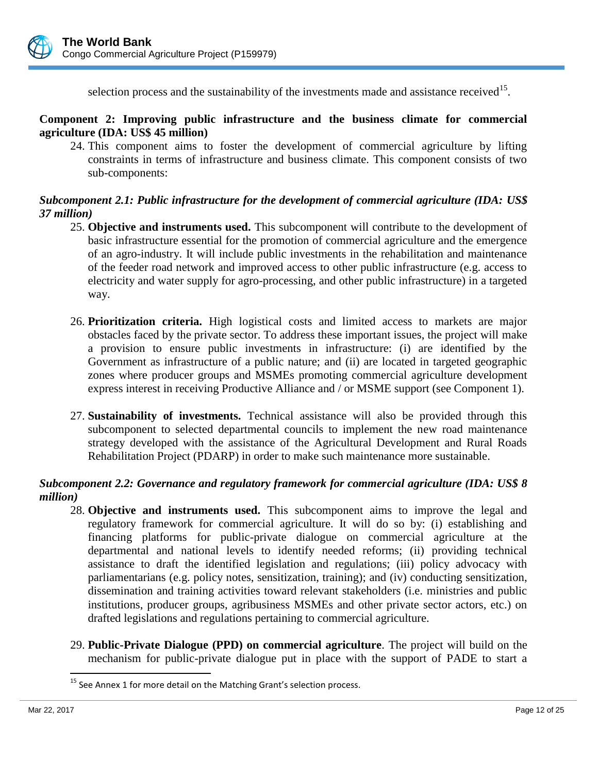

selection process and the sustainability of the investments made and assistance received<sup>15</sup>.

## **Component 2: Improving public infrastructure and the business climate for commercial agriculture (IDA: US\$ 45 million)**

24. This component aims to foster the development of commercial agriculture by lifting constraints in terms of infrastructure and business climate. This component consists of two sub-components:

## *Subcomponent 2.1: Public infrastructure for the development of commercial agriculture (IDA: US\$ 37 million)*

- 25. **Objective and instruments used.** This subcomponent will contribute to the development of basic infrastructure essential for the promotion of commercial agriculture and the emergence of an agro-industry. It will include public investments in the rehabilitation and maintenance of the feeder road network and improved access to other public infrastructure (e.g. access to electricity and water supply for agro-processing, and other public infrastructure) in a targeted way.
- 26. **Prioritization criteria.** High logistical costs and limited access to markets are major obstacles faced by the private sector. To address these important issues, the project will make a provision to ensure public investments in infrastructure: (i) are identified by the Government as infrastructure of a public nature; and (ii) are located in targeted geographic zones where producer groups and MSMEs promoting commercial agriculture development express interest in receiving Productive Alliance and / or MSME support (see Component 1).
- 27. **Sustainability of investments.** Technical assistance will also be provided through this subcomponent to selected departmental councils to implement the new road maintenance strategy developed with the assistance of the Agricultural Development and Rural Roads Rehabilitation Project (PDARP) in order to make such maintenance more sustainable.

## *Subcomponent 2.2: Governance and regulatory framework for commercial agriculture (IDA: US\$ 8 million)*

- 28. **Objective and instruments used.** This subcomponent aims to improve the legal and regulatory framework for commercial agriculture. It will do so by: (i) establishing and financing platforms for public-private dialogue on commercial agriculture at the departmental and national levels to identify needed reforms; (ii) providing technical assistance to draft the identified legislation and regulations; (iii) policy advocacy with parliamentarians (e.g. policy notes, sensitization, training); and (iv) conducting sensitization, dissemination and training activities toward relevant stakeholders (i.e. ministries and public institutions, producer groups, agribusiness MSMEs and other private sector actors, etc.) on drafted legislations and regulations pertaining to commercial agriculture.
- 29. **Public-Private Dialogue (PPD) on commercial agriculture**. The project will build on the mechanism for public-private dialogue put in place with the support of PADE to start a

 $\overline{a}$ 

 $<sup>15</sup>$  See Annex 1 for more detail on the Matching Grant's selection process.</sup>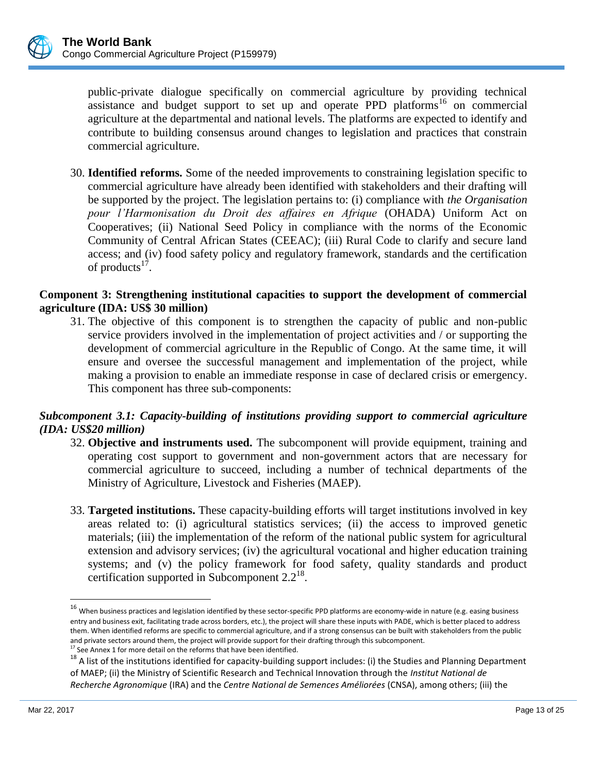

public-private dialogue specifically on commercial agriculture by providing technical assistance and budget support to set up and operate PPD platforms<sup>16</sup> on commercial agriculture at the departmental and national levels. The platforms are expected to identify and contribute to building consensus around changes to legislation and practices that constrain commercial agriculture.

30. **Identified reforms.** Some of the needed improvements to constraining legislation specific to commercial agriculture have already been identified with stakeholders and their drafting will be supported by the project. The legislation pertains to: (i) compliance with *the Organisation pour l'Harmonisation du Droit des affaires en Afrique* (OHADA) Uniform Act on Cooperatives; (ii) National Seed Policy in compliance with the norms of the Economic Community of Central African States (CEEAC); (iii) Rural Code to clarify and secure land access; and (iv) food safety policy and regulatory framework, standards and the certification of products $^{17}$ .

## **Component 3: Strengthening institutional capacities to support the development of commercial agriculture (IDA: US\$ 30 million)**

31. The objective of this component is to strengthen the capacity of public and non-public service providers involved in the implementation of project activities and / or supporting the development of commercial agriculture in the Republic of Congo. At the same time, it will ensure and oversee the successful management and implementation of the project, while making a provision to enable an immediate response in case of declared crisis or emergency. This component has three sub-components:

## *Subcomponent 3.1: Capacity-building of institutions providing support to commercial agriculture (IDA: US\$20 million)*

- 32. **Objective and instruments used.** The subcomponent will provide equipment, training and operating cost support to government and non-government actors that are necessary for commercial agriculture to succeed, including a number of technical departments of the Ministry of Agriculture, Livestock and Fisheries (MAEP).
- 33. **Targeted institutions.** These capacity-building efforts will target institutions involved in key areas related to: (i) agricultural statistics services; (ii) the access to improved genetic materials; (iii) the implementation of the reform of the national public system for agricultural extension and advisory services; (iv) the agricultural vocational and higher education training systems; and (v) the policy framework for food safety, quality standards and product certification supported in Subcomponent  $2.2^{18}$ .

 $\overline{a}$ 

 $^{16}$  When business practices and legislation identified by these sector-specific PPD platforms are economy-wide in nature (e.g. easing business entry and business exit, facilitating trade across borders, etc.), the project will share these inputs with PADE, which is better placed to address them. When identified reforms are specific to commercial agriculture, and if a strong consensus can be built with stakeholders from the public and private sectors around them, the project will provide support for their drafting through this subcomponent.

 $'$  See Annex 1 for more detail on the reforms that have been identified.

<sup>&</sup>lt;sup>18</sup> A list of the institutions identified for capacity-building support includes: (i) the Studies and Planning Department of MAEP; (ii) the Ministry of Scientific Research and Technical Innovation through the *Institut National de Recherche Agronomique* (IRA) and the *Centre National de Semences Améliorées* (CNSA), among others; (iii) the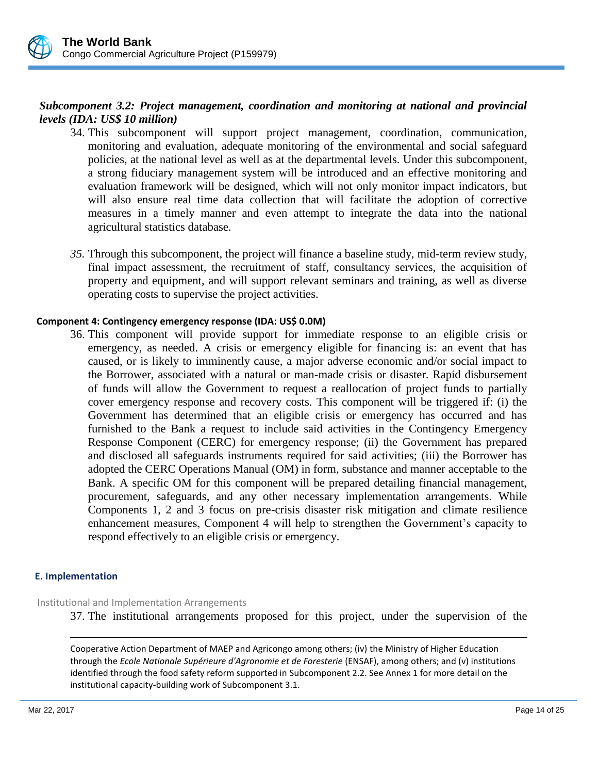## *Subcomponent 3.2: Project management, coordination and monitoring at national and provincial levels (IDA: US\$ 10 million)*

- 34. This subcomponent will support project management, coordination, communication, monitoring and evaluation, adequate monitoring of the environmental and social safeguard policies, at the national level as well as at the departmental levels. Under this subcomponent, a strong fiduciary management system will be introduced and an effective monitoring and evaluation framework will be designed, which will not only monitor impact indicators, but will also ensure real time data collection that will facilitate the adoption of corrective measures in a timely manner and even attempt to integrate the data into the national agricultural statistics database.
- *35.* Through this subcomponent, the project will finance a baseline study, mid-term review study, final impact assessment, the recruitment of staff, consultancy services, the acquisition of property and equipment, and will support relevant seminars and training, as well as diverse operating costs to supervise the project activities.

### **Component 4: Contingency emergency response (IDA: US\$ 0.0M)**

36. This component will provide support for immediate response to an eligible crisis or emergency, as needed. A crisis or emergency eligible for financing is: an event that has caused, or is likely to imminently cause, a major adverse economic and/or social impact to the Borrower, associated with a natural or man-made crisis or disaster. Rapid disbursement of funds will allow the Government to request a reallocation of project funds to partially cover emergency response and recovery costs. This component will be triggered if: (i) the Government has determined that an eligible crisis or emergency has occurred and has furnished to the Bank a request to include said activities in the Contingency Emergency Response Component (CERC) for emergency response; (ii) the Government has prepared and disclosed all safeguards instruments required for said activities; (iii) the Borrower has adopted the CERC Operations Manual (OM) in form, substance and manner acceptable to the Bank. A specific OM for this component will be prepared detailing financial management, procurement, safeguards, and any other necessary implementation arrangements. While Components 1, 2 and 3 focus on pre-crisis disaster risk mitigation and climate resilience enhancement measures, Component 4 will help to strengthen the Government's capacity to respond effectively to an eligible crisis or emergency.

### **E. Implementation**

 $\overline{a}$ 

Institutional and Implementation Arrangements

37. The institutional arrangements proposed for this project, under the supervision of the

Cooperative Action Department of MAEP and Agricongo among others; (iv) the Ministry of Higher Education through the *Ecole Nationale Supérieure d'Agronomie et de Foresterie* (ENSAF), among others; and (v) institutions identified through the food safety reform supported in Subcomponent 2.2. See Annex 1 for more detail on the institutional capacity-building work of Subcomponent 3.1.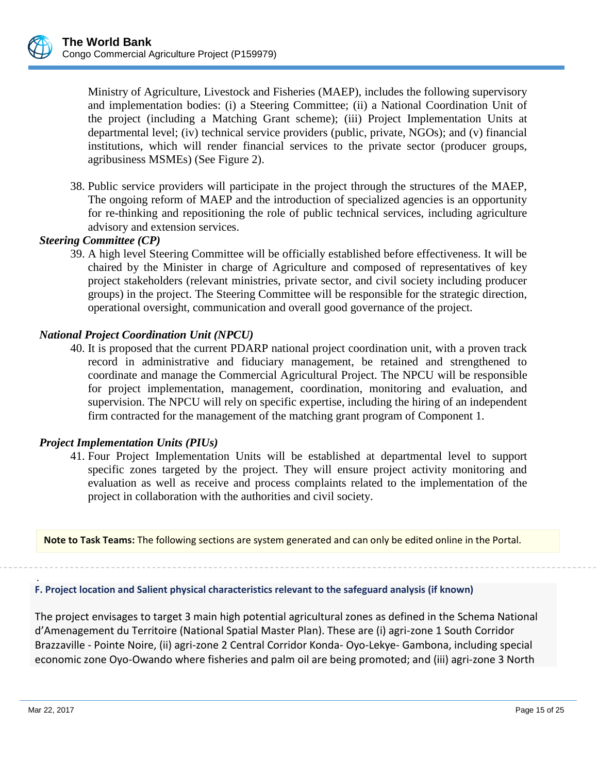

Ministry of Agriculture, Livestock and Fisheries (MAEP), includes the following supervisory and implementation bodies: (i) a Steering Committee; (ii) a National Coordination Unit of the project (including a Matching Grant scheme); (iii) Project Implementation Units at departmental level; (iv) technical service providers (public, private, NGOs); and (v) financial institutions, which will render financial services to the private sector (producer groups, agribusiness MSMEs) (See Figure 2).

38. Public service providers will participate in the project through the structures of the MAEP, The ongoing reform of MAEP and the introduction of specialized agencies is an opportunity for re-thinking and repositioning the role of public technical services, including agriculture advisory and extension services.

# *Steering Committee (CP)*

39. A high level Steering Committee will be officially established before effectiveness. It will be chaired by the Minister in charge of Agriculture and composed of representatives of key project stakeholders (relevant ministries, private sector, and civil society including producer groups) in the project. The Steering Committee will be responsible for the strategic direction, operational oversight, communication and overall good governance of the project.

## *National Project Coordination Unit (NPCU)*

40. It is proposed that the current PDARP national project coordination unit, with a proven track record in administrative and fiduciary management, be retained and strengthened to coordinate and manage the Commercial Agricultural Project. The NPCU will be responsible for project implementation, management, coordination, monitoring and evaluation, and supervision. The NPCU will rely on specific expertise, including the hiring of an independent firm contracted for the management of the matching grant program of Component 1.

## *Project Implementation Units (PIUs)*

41. Four Project Implementation Units will be established at departmental level to support specific zones targeted by the project. They will ensure project activity monitoring and evaluation as well as receive and process complaints related to the implementation of the project in collaboration with the authorities and civil society.

**Note to Task Teams:** The following sections are system generated and can only be edited online in the Portal.

. **F. Project location and Salient physical characteristics relevant to the safeguard analysis (if known)**

The project envisages to target 3 main high potential agricultural zones as defined in the Schema National d'Amenagement du Territoire (National Spatial Master Plan). These are (i) agri-zone 1 South Corridor Brazzaville - Pointe Noire, (ii) agri-zone 2 Central Corridor Konda- Oyo-Lekye- Gambona, including special economic zone Oyo-Owando where fisheries and palm oil are being promoted; and (iii) agri-zone 3 North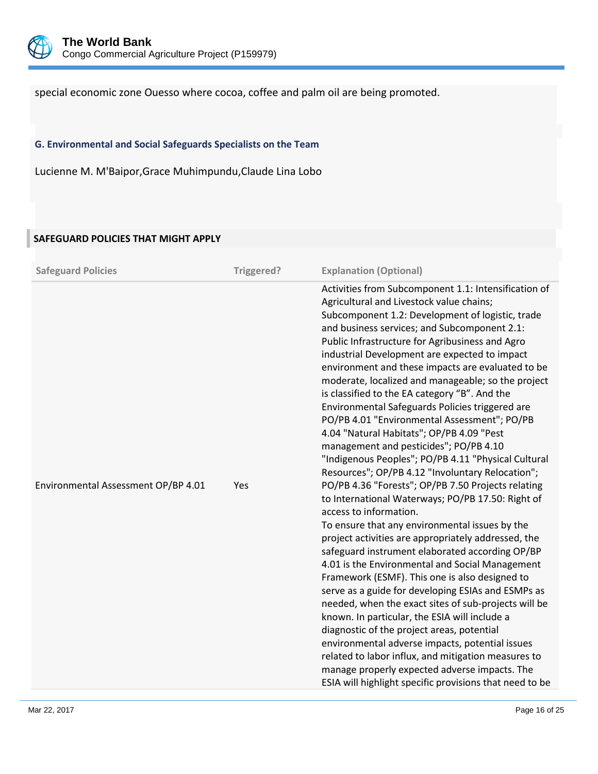

special economic zone Ouesso where cocoa, coffee and palm oil are being promoted.

### **G. Environmental and Social Safeguards Specialists on the Team**

Lucienne M. M'Baipor,Grace Muhimpundu,Claude Lina Lobo

### **SAFEGUARD POLICIES THAT MIGHT APPLY**

| <b>Safeguard Policies</b>           | Triggered? | <b>Explanation (Optional)</b>                                                                                                                                                                                                                                                                                                                                                                                                                                                                                                                                                                                                                                                                                                                                                                                                                                                                                                                                                                                                                                                                                                                                                                                                                                                                                                                                                                                                                                                                                                                                                                                      |
|-------------------------------------|------------|--------------------------------------------------------------------------------------------------------------------------------------------------------------------------------------------------------------------------------------------------------------------------------------------------------------------------------------------------------------------------------------------------------------------------------------------------------------------------------------------------------------------------------------------------------------------------------------------------------------------------------------------------------------------------------------------------------------------------------------------------------------------------------------------------------------------------------------------------------------------------------------------------------------------------------------------------------------------------------------------------------------------------------------------------------------------------------------------------------------------------------------------------------------------------------------------------------------------------------------------------------------------------------------------------------------------------------------------------------------------------------------------------------------------------------------------------------------------------------------------------------------------------------------------------------------------------------------------------------------------|
| Environmental Assessment OP/BP 4.01 | Yes        | Activities from Subcomponent 1.1: Intensification of<br>Agricultural and Livestock value chains;<br>Subcomponent 1.2: Development of logistic, trade<br>and business services; and Subcomponent 2.1:<br>Public Infrastructure for Agribusiness and Agro<br>industrial Development are expected to impact<br>environment and these impacts are evaluated to be<br>moderate, localized and manageable; so the project<br>is classified to the EA category "B". And the<br>Environmental Safeguards Policies triggered are<br>PO/PB 4.01 "Environmental Assessment"; PO/PB<br>4.04 "Natural Habitats"; OP/PB 4.09 "Pest<br>management and pesticides"; PO/PB 4.10<br>"Indigenous Peoples"; PO/PB 4.11 "Physical Cultural<br>Resources"; OP/PB 4.12 "Involuntary Relocation";<br>PO/PB 4.36 "Forests"; OP/PB 7.50 Projects relating<br>to International Waterways; PO/PB 17.50: Right of<br>access to information.<br>To ensure that any environmental issues by the<br>project activities are appropriately addressed, the<br>safeguard instrument elaborated according OP/BP<br>4.01 is the Environmental and Social Management<br>Framework (ESMF). This one is also designed to<br>serve as a guide for developing ESIAs and ESMPs as<br>needed, when the exact sites of sub-projects will be<br>known. In particular, the ESIA will include a<br>diagnostic of the project areas, potential<br>environmental adverse impacts, potential issues<br>related to labor influx, and mitigation measures to<br>manage properly expected adverse impacts. The<br>ESIA will highlight specific provisions that need to be |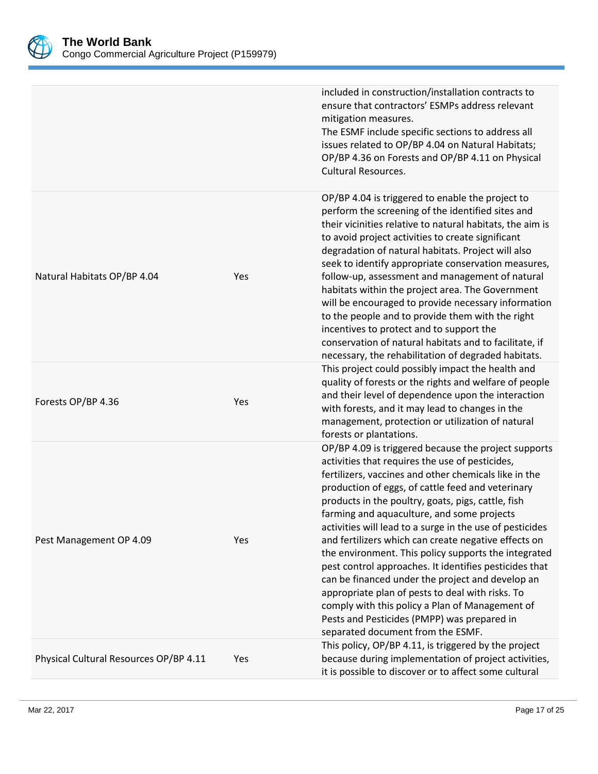

|                                        |     | included in construction/installation contracts to<br>ensure that contractors' ESMPs address relevant<br>mitigation measures.<br>The ESMF include specific sections to address all<br>issues related to OP/BP 4.04 on Natural Habitats;<br>OP/BP 4.36 on Forests and OP/BP 4.11 on Physical<br><b>Cultural Resources.</b>                                                                                                                                                                                                                                                                                                                                                                                                                                                                                      |
|----------------------------------------|-----|----------------------------------------------------------------------------------------------------------------------------------------------------------------------------------------------------------------------------------------------------------------------------------------------------------------------------------------------------------------------------------------------------------------------------------------------------------------------------------------------------------------------------------------------------------------------------------------------------------------------------------------------------------------------------------------------------------------------------------------------------------------------------------------------------------------|
| Natural Habitats OP/BP 4.04            | Yes | OP/BP 4.04 is triggered to enable the project to<br>perform the screening of the identified sites and<br>their vicinities relative to natural habitats, the aim is<br>to avoid project activities to create significant<br>degradation of natural habitats. Project will also<br>seek to identify appropriate conservation measures,<br>follow-up, assessment and management of natural<br>habitats within the project area. The Government<br>will be encouraged to provide necessary information<br>to the people and to provide them with the right<br>incentives to protect and to support the<br>conservation of natural habitats and to facilitate, if<br>necessary, the rehabilitation of degraded habitats.                                                                                            |
| Forests OP/BP 4.36                     | Yes | This project could possibly impact the health and<br>quality of forests or the rights and welfare of people<br>and their level of dependence upon the interaction<br>with forests, and it may lead to changes in the<br>management, protection or utilization of natural<br>forests or plantations.                                                                                                                                                                                                                                                                                                                                                                                                                                                                                                            |
| Pest Management OP 4.09                | Yes | OP/BP 4.09 is triggered because the project supports<br>activities that requires the use of pesticides,<br>fertilizers, vaccines and other chemicals like in the<br>production of eggs, of cattle feed and veterinary<br>products in the poultry, goats, pigs, cattle, fish<br>farming and aquaculture, and some projects<br>activities will lead to a surge in the use of pesticides<br>and fertilizers which can create negative effects on<br>the environment. This policy supports the integrated<br>pest control approaches. It identifies pesticides that<br>can be financed under the project and develop an<br>appropriate plan of pests to deal with risks. To<br>comply with this policy a Plan of Management of<br>Pests and Pesticides (PMPP) was prepared in<br>separated document from the ESMF. |
| Physical Cultural Resources OP/BP 4.11 | Yes | This policy, OP/BP 4.11, is triggered by the project<br>because during implementation of project activities,<br>it is possible to discover or to affect some cultural                                                                                                                                                                                                                                                                                                                                                                                                                                                                                                                                                                                                                                          |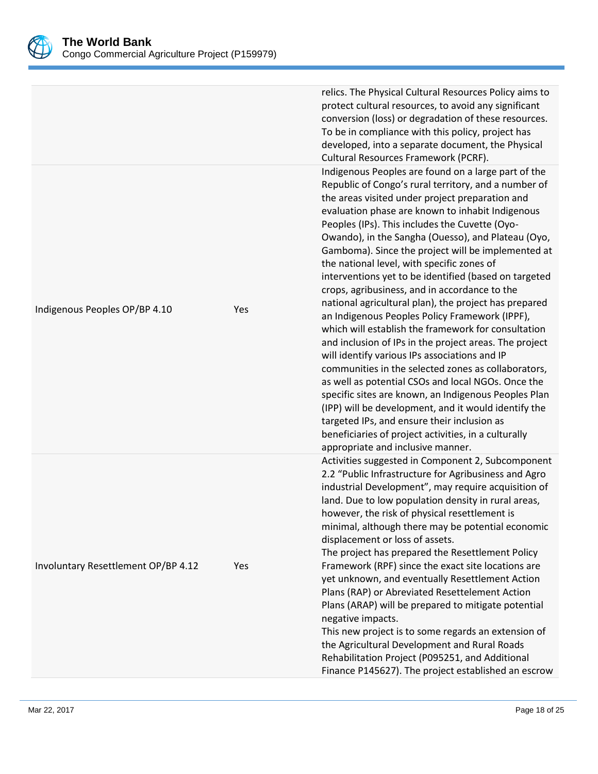

|                                     |     | relics. The Physical Cultural Resources Policy aims to<br>protect cultural resources, to avoid any significant<br>conversion (loss) or degradation of these resources.<br>To be in compliance with this policy, project has<br>developed, into a separate document, the Physical<br>Cultural Resources Framework (PCRF).                                                                                                                                                                                                                                                                                                                                                                                                                                                                                                                                                                                                                                                                                                                                                                                                                                                                       |
|-------------------------------------|-----|------------------------------------------------------------------------------------------------------------------------------------------------------------------------------------------------------------------------------------------------------------------------------------------------------------------------------------------------------------------------------------------------------------------------------------------------------------------------------------------------------------------------------------------------------------------------------------------------------------------------------------------------------------------------------------------------------------------------------------------------------------------------------------------------------------------------------------------------------------------------------------------------------------------------------------------------------------------------------------------------------------------------------------------------------------------------------------------------------------------------------------------------------------------------------------------------|
| Indigenous Peoples OP/BP 4.10       | Yes | Indigenous Peoples are found on a large part of the<br>Republic of Congo's rural territory, and a number of<br>the areas visited under project preparation and<br>evaluation phase are known to inhabit Indigenous<br>Peoples (IPs). This includes the Cuvette (Oyo-<br>Owando), in the Sangha (Ouesso), and Plateau (Oyo,<br>Gamboma). Since the project will be implemented at<br>the national level, with specific zones of<br>interventions yet to be identified (based on targeted<br>crops, agribusiness, and in accordance to the<br>national agricultural plan), the project has prepared<br>an Indigenous Peoples Policy Framework (IPPF),<br>which will establish the framework for consultation<br>and inclusion of IPs in the project areas. The project<br>will identify various IPs associations and IP<br>communities in the selected zones as collaborators,<br>as well as potential CSOs and local NGOs. Once the<br>specific sites are known, an Indigenous Peoples Plan<br>(IPP) will be development, and it would identify the<br>targeted IPs, and ensure their inclusion as<br>beneficiaries of project activities, in a culturally<br>appropriate and inclusive manner. |
| Involuntary Resettlement OP/BP 4.12 | Yes | Activities suggested in Component 2, Subcomponent<br>2.2 "Public Infrastructure for Agribusiness and Agro<br>industrial Development", may require acquisition of<br>land. Due to low population density in rural areas,<br>however, the risk of physical resettlement is<br>minimal, although there may be potential economic<br>displacement or loss of assets.<br>The project has prepared the Resettlement Policy<br>Framework (RPF) since the exact site locations are<br>yet unknown, and eventually Resettlement Action<br>Plans (RAP) or Abreviated Resettelement Action<br>Plans (ARAP) will be prepared to mitigate potential<br>negative impacts.<br>This new project is to some regards an extension of<br>the Agricultural Development and Rural Roads<br>Rehabilitation Project (P095251, and Additional<br>Finance P145627). The project established an escrow                                                                                                                                                                                                                                                                                                                   |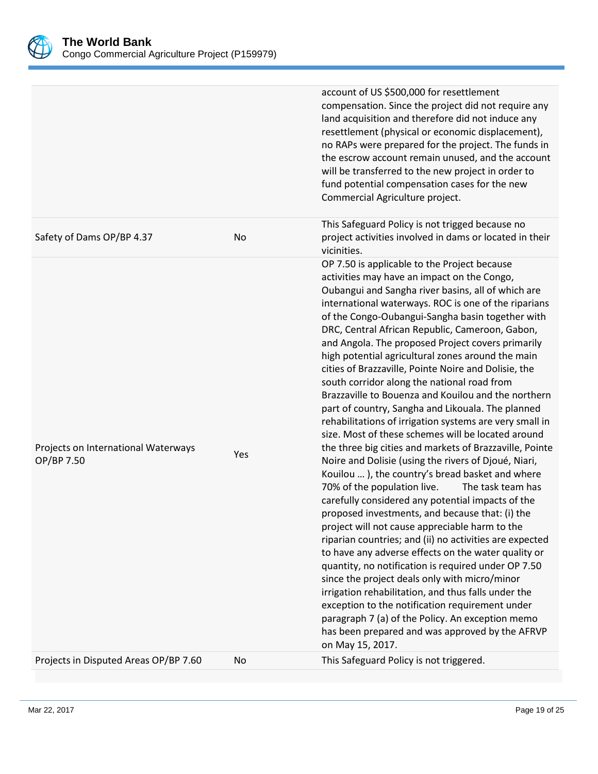

|                                                   |     | account of US \$500,000 for resettlement<br>compensation. Since the project did not require any<br>land acquisition and therefore did not induce any<br>resettlement (physical or economic displacement),<br>no RAPs were prepared for the project. The funds in<br>the escrow account remain unused, and the account<br>will be transferred to the new project in order to<br>fund potential compensation cases for the new<br>Commercial Agriculture project.                                                                                                                                                                                                                                                                                                                                                                                                                                                                                                                                                                                                                                                                                                                                                                                                                                                                                                                                                                                                                                                                                                                                                    |
|---------------------------------------------------|-----|--------------------------------------------------------------------------------------------------------------------------------------------------------------------------------------------------------------------------------------------------------------------------------------------------------------------------------------------------------------------------------------------------------------------------------------------------------------------------------------------------------------------------------------------------------------------------------------------------------------------------------------------------------------------------------------------------------------------------------------------------------------------------------------------------------------------------------------------------------------------------------------------------------------------------------------------------------------------------------------------------------------------------------------------------------------------------------------------------------------------------------------------------------------------------------------------------------------------------------------------------------------------------------------------------------------------------------------------------------------------------------------------------------------------------------------------------------------------------------------------------------------------------------------------------------------------------------------------------------------------|
| Safety of Dams OP/BP 4.37                         | No  | This Safeguard Policy is not trigged because no<br>project activities involved in dams or located in their<br>vicinities.                                                                                                                                                                                                                                                                                                                                                                                                                                                                                                                                                                                                                                                                                                                                                                                                                                                                                                                                                                                                                                                                                                                                                                                                                                                                                                                                                                                                                                                                                          |
| Projects on International Waterways<br>OP/BP 7.50 | Yes | OP 7.50 is applicable to the Project because<br>activities may have an impact on the Congo,<br>Oubangui and Sangha river basins, all of which are<br>international waterways. ROC is one of the riparians<br>of the Congo-Oubangui-Sangha basin together with<br>DRC, Central African Republic, Cameroon, Gabon,<br>and Angola. The proposed Project covers primarily<br>high potential agricultural zones around the main<br>cities of Brazzaville, Pointe Noire and Dolisie, the<br>south corridor along the national road from<br>Brazzaville to Bouenza and Kouilou and the northern<br>part of country, Sangha and Likouala. The planned<br>rehabilitations of irrigation systems are very small in<br>size. Most of these schemes will be located around<br>the three big cities and markets of Brazzaville, Pointe<br>Noire and Dolisie (using the rivers of Djoué, Niari,<br>Kouilou  ), the country's bread basket and where<br>70% of the population live.<br>The task team has<br>carefully considered any potential impacts of the<br>proposed investments, and because that: (i) the<br>project will not cause appreciable harm to the<br>riparian countries; and (ii) no activities are expected<br>to have any adverse effects on the water quality or<br>quantity, no notification is required under OP 7.50<br>since the project deals only with micro/minor<br>irrigation rehabilitation, and thus falls under the<br>exception to the notification requirement under<br>paragraph 7 (a) of the Policy. An exception memo<br>has been prepared and was approved by the AFRVP<br>on May 15, 2017. |
| Projects in Disputed Areas OP/BP 7.60             | No  | This Safeguard Policy is not triggered.                                                                                                                                                                                                                                                                                                                                                                                                                                                                                                                                                                                                                                                                                                                                                                                                                                                                                                                                                                                                                                                                                                                                                                                                                                                                                                                                                                                                                                                                                                                                                                            |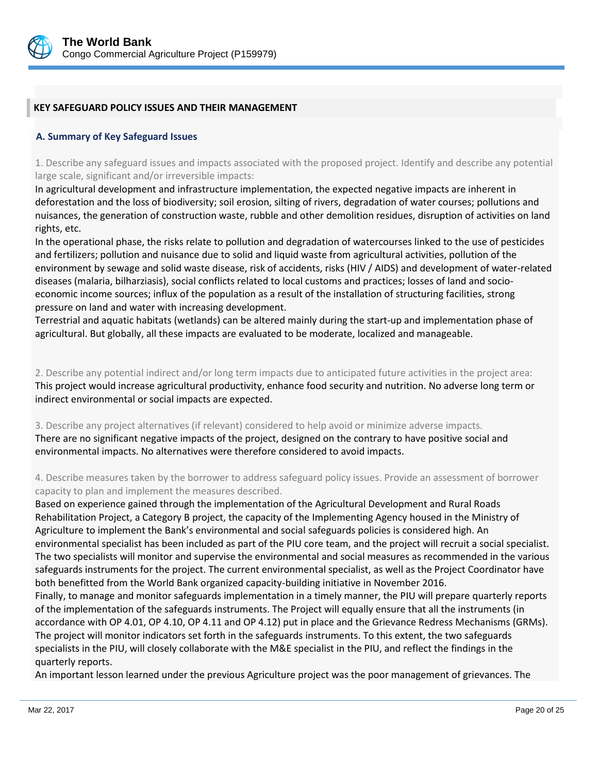

### **KEY SAFEGUARD POLICY ISSUES AND THEIR MANAGEMENT**

### **A. Summary of Key Safeguard Issues**

1. Describe any safeguard issues and impacts associated with the proposed project. Identify and describe any potential large scale, significant and/or irreversible impacts:

In agricultural development and infrastructure implementation, the expected negative impacts are inherent in deforestation and the loss of biodiversity; soil erosion, silting of rivers, degradation of water courses; pollutions and nuisances, the generation of construction waste, rubble and other demolition residues, disruption of activities on land rights, etc.

In the operational phase, the risks relate to pollution and degradation of watercourses linked to the use of pesticides and fertilizers; pollution and nuisance due to solid and liquid waste from agricultural activities, pollution of the environment by sewage and solid waste disease, risk of accidents, risks (HIV / AIDS) and development of water-related diseases (malaria, bilharziasis), social conflicts related to local customs and practices; losses of land and socioeconomic income sources; influx of the population as a result of the installation of structuring facilities, strong pressure on land and water with increasing development.

Terrestrial and aquatic habitats (wetlands) can be altered mainly during the start-up and implementation phase of agricultural. But globally, all these impacts are evaluated to be moderate, localized and manageable.

2. Describe any potential indirect and/or long term impacts due to anticipated future activities in the project area: This project would increase agricultural productivity, enhance food security and nutrition. No adverse long term or indirect environmental or social impacts are expected.

3. Describe any project alternatives (if relevant) considered to help avoid or minimize adverse impacts. There are no significant negative impacts of the project, designed on the contrary to have positive social and environmental impacts. No alternatives were therefore considered to avoid impacts.

4. Describe measures taken by the borrower to address safeguard policy issues. Provide an assessment of borrower capacity to plan and implement the measures described.

Based on experience gained through the implementation of the Agricultural Development and Rural Roads Rehabilitation Project, a Category B project, the capacity of the Implementing Agency housed in the Ministry of Agriculture to implement the Bank's environmental and social safeguards policies is considered high. An environmental specialist has been included as part of the PIU core team, and the project will recruit a social specialist. The two specialists will monitor and supervise the environmental and social measures as recommended in the various safeguards instruments for the project. The current environmental specialist, as well as the Project Coordinator have both benefitted from the World Bank organized capacity-building initiative in November 2016.

Finally, to manage and monitor safeguards implementation in a timely manner, the PIU will prepare quarterly reports of the implementation of the safeguards instruments. The Project will equally ensure that all the instruments (in accordance with OP 4.01, OP 4.10, OP 4.11 and OP 4.12) put in place and the Grievance Redress Mechanisms (GRMs). The project will monitor indicators set forth in the safeguards instruments. To this extent, the two safeguards specialists in the PIU, will closely collaborate with the M&E specialist in the PIU, and reflect the findings in the quarterly reports.

An important lesson learned under the previous Agriculture project was the poor management of grievances. The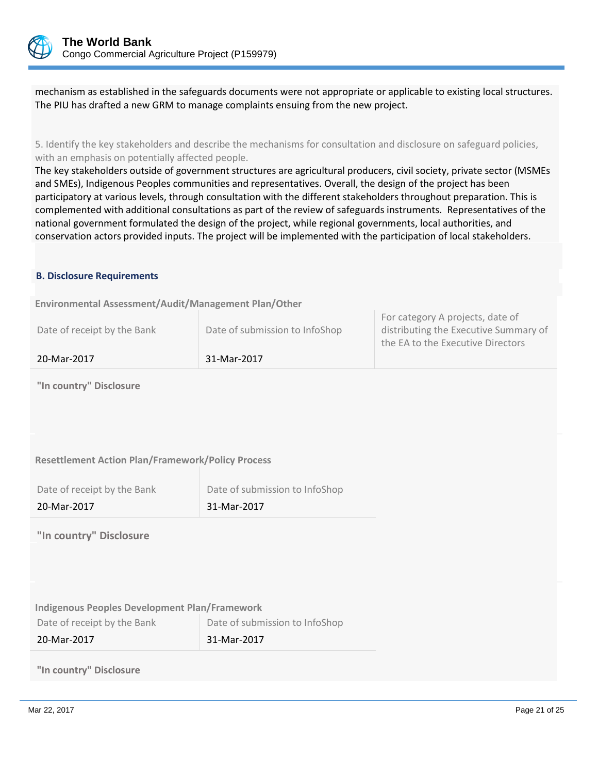

mechanism as established in the safeguards documents were not appropriate or applicable to existing local structures. The PIU has drafted a new GRM to manage complaints ensuing from the new project.

5. Identify the key stakeholders and describe the mechanisms for consultation and disclosure on safeguard policies, with an emphasis on potentially affected people.

The key stakeholders outside of government structures are agricultural producers, civil society, private sector (MSMEs and SMEs), Indigenous Peoples communities and representatives. Overall, the design of the project has been participatory at various levels, through consultation with the different stakeholders throughout preparation. This is complemented with additional consultations as part of the review of safeguards instruments. Representatives of the national government formulated the design of the project, while regional governments, local authorities, and conservation actors provided inputs. The project will be implemented with the participation of local stakeholders.

#### **B. Disclosure Requirements**

**Environmental Assessment/Audit/Management Plan/Other** 

For category A projects, date of

**"In country" Disclosure**

#### **Resettlement Action Plan/Framework/Policy Process**

| Date of receipt by the Bank | Date of submission to InfoShop |
|-----------------------------|--------------------------------|
| 20-Mar-2017                 | 31-Mar-2017                    |

**"In country" Disclosure**

| <b>Indigenous Peoples Development Plan/Framework</b> |                                |
|------------------------------------------------------|--------------------------------|
| Date of receipt by the Bank                          | Date of submission to InfoShop |
| 20-Mar-2017                                          | 31-Mar-2017                    |

**"In country" Disclosure**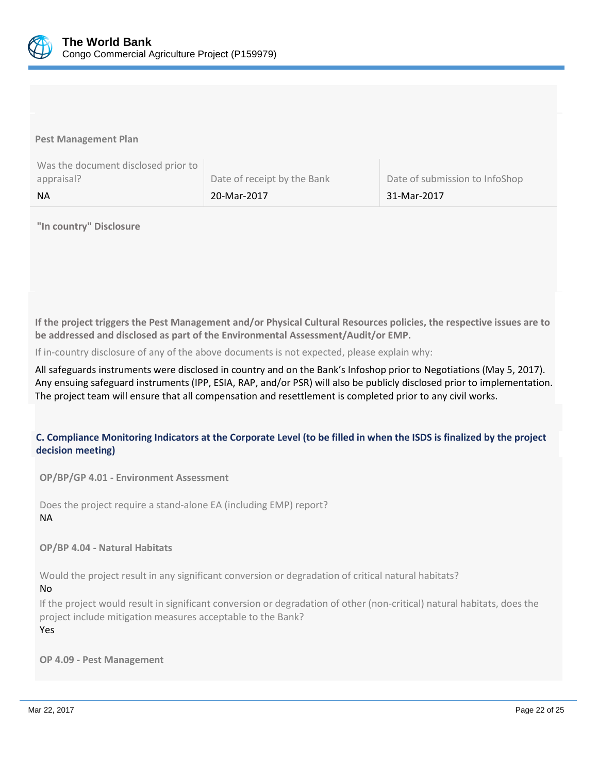

**Pest Management Plan**

| Was the document disclosed prior to |                             |                                |
|-------------------------------------|-----------------------------|--------------------------------|
| appraisal?                          | Date of receipt by the Bank | Date of submission to InfoShop |
| <b>NA</b>                           | 20-Mar-2017                 | 31-Mar-2017                    |

#### **"In country" Disclosure**

**If the project triggers the Pest Management and/or Physical Cultural Resources policies, the respective issues are to be addressed and disclosed as part of the Environmental Assessment/Audit/or EMP.**

If in-country disclosure of any of the above documents is not expected, please explain why:

All safeguards instruments were disclosed in country and on the Bank's Infoshop prior to Negotiations (May 5, 2017). Any ensuing safeguard instruments (IPP, ESIA, RAP, and/or PSR) will also be publicly disclosed prior to implementation. The project team will ensure that all compensation and resettlement is completed prior to any civil works.

### **C. Compliance Monitoring Indicators at the Corporate Level (to be filled in when the ISDS is finalized by the project decision meeting)**

**OP/BP/GP 4.01 - Environment Assessment** 

Does the project require a stand-alone EA (including EMP) report? NA

**OP/BP 4.04 - Natural Habitats**

Would the project result in any significant conversion or degradation of critical natural habitats?

#### No

If the project would result in significant conversion or degradation of other (non-critical) natural habitats, does the project include mitigation measures acceptable to the Bank? Yes

**OP 4.09 - Pest Management**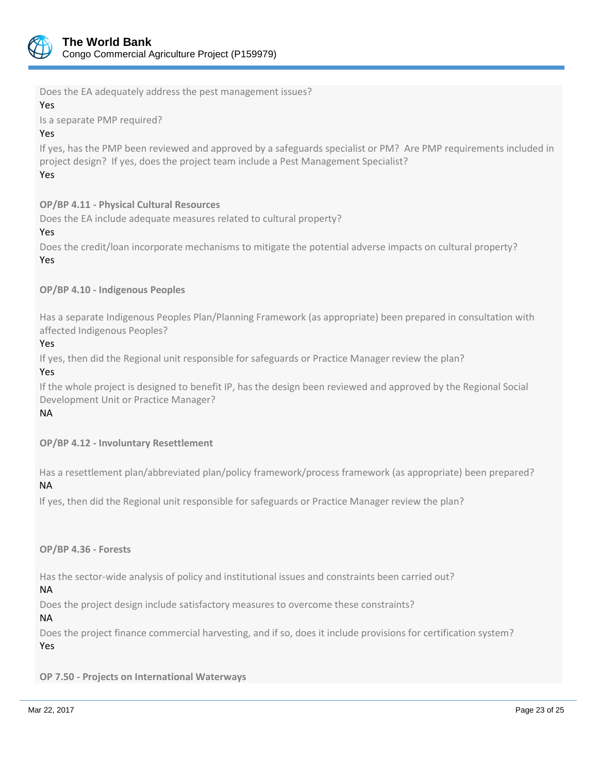

Does the EA adequately address the pest management issues?

### Yes

Is a separate PMP required?

### Yes

If yes, has the PMP been reviewed and approved by a safeguards specialist or PM? Are PMP requirements included in project design? If yes, does the project team include a Pest Management Specialist? Yes

### **OP/BP 4.11 - Physical Cultural Resources**

Does the EA include adequate measures related to cultural property?

#### Yes

Does the credit/loan incorporate mechanisms to mitigate the potential adverse impacts on cultural property? Yes

### **OP/BP 4.10 - Indigenous Peoples**

Has a separate Indigenous Peoples Plan/Planning Framework (as appropriate) been prepared in consultation with affected Indigenous Peoples?

#### Yes

If yes, then did the Regional unit responsible for safeguards or Practice Manager review the plan?

## Yes

If the whole project is designed to benefit IP, has the design been reviewed and approved by the Regional Social Development Unit or Practice Manager?

### NA

**OP/BP 4.12 - Involuntary Resettlement**

Has a resettlement plan/abbreviated plan/policy framework/process framework (as appropriate) been prepared? NA

If yes, then did the Regional unit responsible for safeguards or Practice Manager review the plan?

**OP/BP 4.36 - Forests**

Has the sector-wide analysis of policy and institutional issues and constraints been carried out?

NA

Does the project design include satisfactory measures to overcome these constraints?

NA

Does the project finance commercial harvesting, and if so, does it include provisions for certification system? Yes

**OP 7.50 - Projects on International Waterways**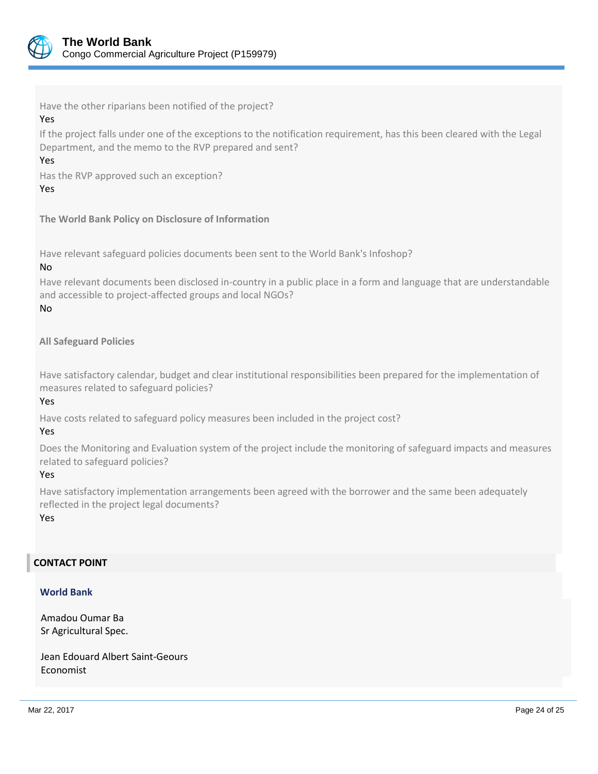

Have the other riparians been notified of the project? Yes

If the project falls under one of the exceptions to the notification requirement, has this been cleared with the Legal Department, and the memo to the RVP prepared and sent?

Yes

Has the RVP approved such an exception?

Yes

**The World Bank Policy on Disclosure of Information**

Have relevant safeguard policies documents been sent to the World Bank's Infoshop?

#### No

Have relevant documents been disclosed in-country in a public place in a form and language that are understandable and accessible to project-affected groups and local NGOs? No

**All Safeguard Policies**

Have satisfactory calendar, budget and clear institutional responsibilities been prepared for the implementation of measures related to safeguard policies?

Yes

Have costs related to safeguard policy measures been included in the project cost?

Yes

Does the Monitoring and Evaluation system of the project include the monitoring of safeguard impacts and measures related to safeguard policies?

Yes

Have satisfactory implementation arrangements been agreed with the borrower and the same been adequately reflected in the project legal documents?

Yes

### **CONTACT POINT**

### **World Bank**

Amadou Oumar Ba Sr Agricultural Spec.

Jean Edouard Albert Saint-Geours Economist